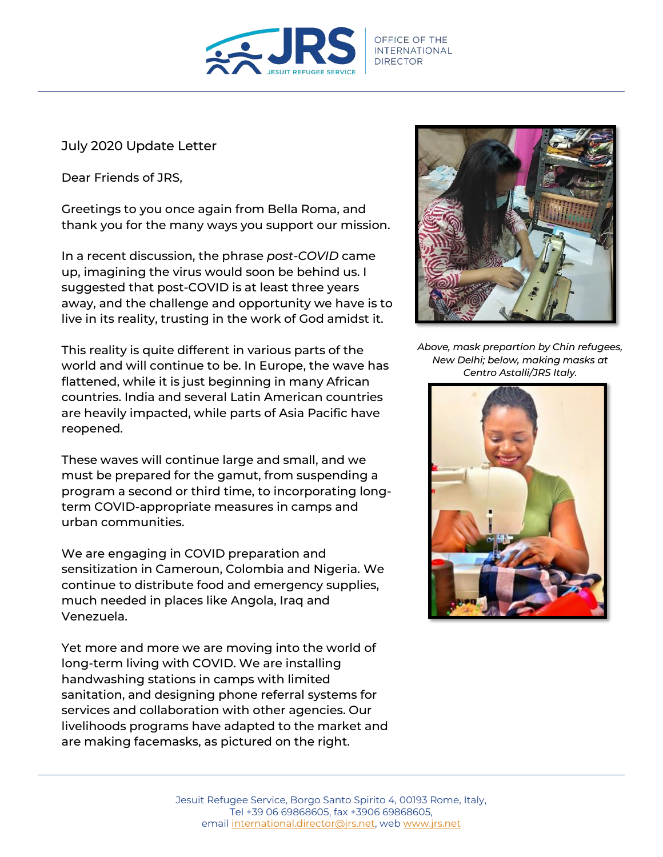

July 2020 Update Letter

Dear Friends of JRS,

Greetings to you once again from Bella Roma, and thank you for the many ways you support our mission.

In a recent discussion, the phrase *post-COVID* came up, imagining the virus would soon be behind us. I suggested that post-COVID is at least three years away, and the challenge and opportunity we have is to live in its reality, trusting in the work of God amidst it.

This reality is quite different in various parts of the world and will continue to be. In Europe, the wave has flattened, while it is just beginning in many African countries. India and several Latin American countries are heavily impacted, while parts of Asia Pacific have reopened.

These waves will continue large and small, and we must be prepared for the gamut, from suspending a program a second or third time, to incorporating longterm COVID-appropriate measures in camps and urban communities.

We are engaging in COVID preparation and sensitization in Cameroun, Colombia and Nigeria. We continue to distribute food and emergency supplies, much needed in places like Angola, Iraq and Venezuela.

Yet more and more we are moving into the world of long-term living with COVID. We are installing handwashing stations in camps with limited sanitation, and designing phone referral systems for services and collaboration with other agencies. Our livelihoods programs have adapted to the market and are making facemasks, as pictured on the right.



*Above, mask prepartion by Chin refugees, New Delhi; below, making masks at Centro Astalli/JRS Italy.*